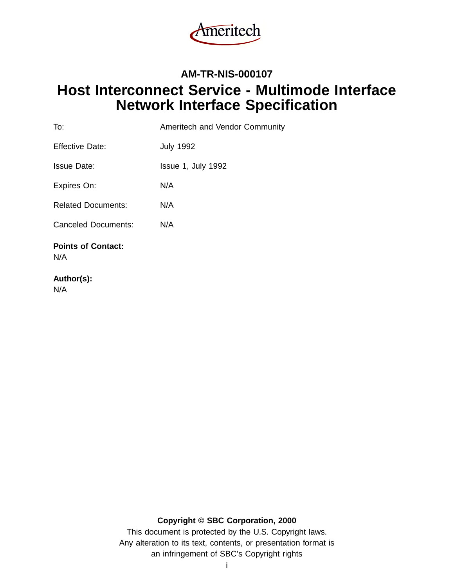

# **AM-TR-NIS-000107 Host Interconnect Service - Multimode Interface Network Interface Specification**

| To:                              | Ameritech and Vendor Community |
|----------------------------------|--------------------------------|
| Effective Date:                  | <b>July 1992</b>               |
| <b>Issue Date:</b>               | Issue 1, July 1992             |
| Expires On:                      | N/A                            |
| <b>Related Documents:</b>        | N/A                            |
| <b>Canceled Documents:</b>       | N/A                            |
| <b>Points of Contact:</b><br>N/A |                                |
| Author(s):<br>N/A                |                                |
|                                  |                                |

**Copyright © SBC Corporation, 2000**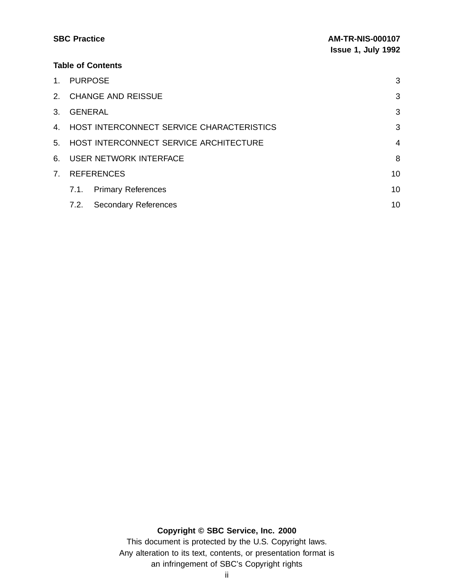| <b>SBC Practice</b>      |  | <b>AM-TR-NIS-000107</b><br><b>Issue 1, July 1992</b> |  |  |  |
|--------------------------|--|------------------------------------------------------|--|--|--|
| <b>Table of Contents</b> |  |                                                      |  |  |  |
| 1. PURPOSE               |  | ີ                                                    |  |  |  |

|    |                   | 2. CHANGE AND REISSUE                        | 3  |
|----|-------------------|----------------------------------------------|----|
| 3. | <b>GENERAL</b>    |                                              | 3  |
|    |                   | 4. HOST INTERCONNECT SERVICE CHARACTERISTICS | 3  |
|    |                   | 5. HOST INTERCONNECT SERVICE ARCHITECTURE    | 4  |
| 6. |                   | USER NETWORK INTERFACE                       | 8  |
| 7. | <b>REFERENCES</b> |                                              | 10 |
|    | 7.1.              | <b>Primary References</b>                    | 10 |
|    | 7.2.              | <b>Secondary References</b>                  | 10 |

## **Copyright © SBC Service, Inc. 2000**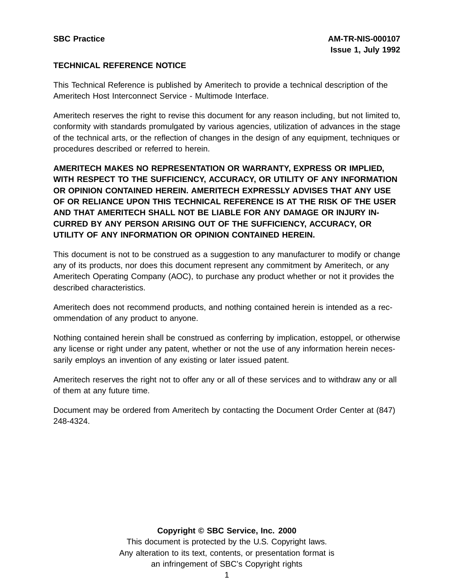## **TECHNICAL REFERENCE NOTICE**

This Technical Reference is published by Ameritech to provide a technical description of the Ameritech Host Interconnect Service - Multimode Interface.

Ameritech reserves the right to revise this document for any reason including, but not limited to, conformity with standards promulgated by various agencies, utilization of advances in the stage of the technical arts, or the reflection of changes in the design of any equipment, techniques or procedures described or referred to herein.

**AMERITECH MAKES NO REPRESENTATION OR WARRANTY, EXPRESS OR IMPLIED, WITH RESPECT TO THE SUFFICIENCY, ACCURACY, OR UTILITY OF ANY INFORMATION OR OPINION CONTAINED HEREIN. AMERITECH EXPRESSLY ADVISES THAT ANY USE OF OR RELIANCE UPON THIS TECHNICAL REFERENCE IS AT THE RISK OF THE USER AND THAT AMERITECH SHALL NOT BE LIABLE FOR ANY DAMAGE OR INJURY IN-CURRED BY ANY PERSON ARISING OUT OF THE SUFFICIENCY, ACCURACY, OR UTILITY OF ANY INFORMATION OR OPINION CONTAINED HEREIN.**

This document is not to be construed as a suggestion to any manufacturer to modify or change any of its products, nor does this document represent any commitment by Ameritech, or any Ameritech Operating Company (AOC), to purchase any product whether or not it provides the described characteristics.

Ameritech does not recommend products, and nothing contained herein is intended as a recommendation of any product to anyone.

Nothing contained herein shall be construed as conferring by implication, estoppel, or otherwise any license or right under any patent, whether or not the use of any information herein necessarily employs an invention of any existing or later issued patent.

Ameritech reserves the right not to offer any or all of these services and to withdraw any or all of them at any future time.

Document may be ordered from Ameritech by contacting the Document Order Center at (847) 248-4324.

## **Copyright © SBC Service, Inc. 2000**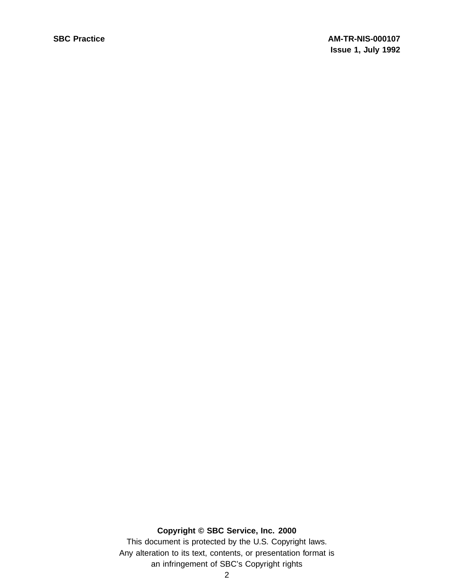## **Copyright © SBC Service, Inc. 2000**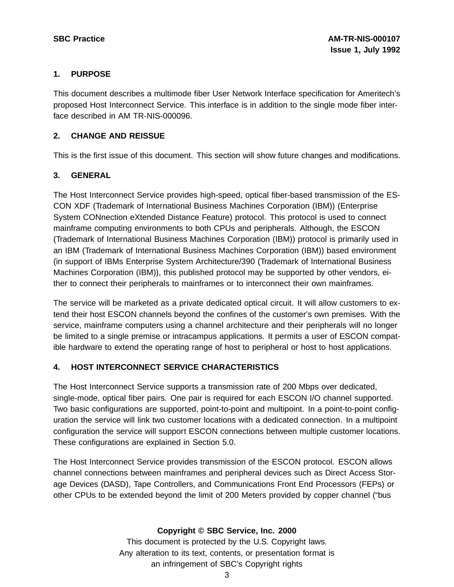## **1. PURPOSE**

This document describes a multimode fiber User Network Interface specification for Ameritech's proposed Host Interconnect Service. This interface is in addition to the single mode fiber interface described in AM TR-NIS-000096.

## **2. CHANGE AND REISSUE**

This is the first issue of this document. This section will show future changes and modifications.

## **3. GENERAL**

The Host Interconnect Service provides high-speed, optical fiber-based transmission of the ES-CON XDF (Trademark of International Business Machines Corporation (IBM)) (Enterprise System CONnection eXtended Distance Feature) protocol. This protocol is used to connect mainframe computing environments to both CPUs and peripherals. Although, the ESCON (Trademark of International Business Machines Corporation (IBM)) protocol is primarily used in an IBM (Trademark of International Business Machines Corporation (IBM)) based environment (in support of IBMs Enterprise System Architecture/390 (Trademark of International Business Machines Corporation (IBM)), this published protocol may be supported by other vendors, either to connect their peripherals to mainframes or to interconnect their own mainframes.

The service will be marketed as a private dedicated optical circuit. It will allow customers to extend their host ESCON channels beyond the confines of the customer's own premises. With the service, mainframe computers using a channel architecture and their peripherals will no longer be limited to a single premise or intracampus applications. It permits a user of ESCON compatible hardware to extend the operating range of host to peripheral or host to host applications.

## **4. HOST INTERCONNECT SERVICE CHARACTERISTICS**

The Host Interconnect Service supports a transmission rate of 200 Mbps over dedicated, single-mode, optical fiber pairs. One pair is required for each ESCON I/O channel supported. Two basic configurations are supported, point-to-point and multipoint. In a point-to-point configuration the service will link two customer locations with a dedicated connection. In a multipoint configuration the service will support ESCON connections between multiple customer locations. These configurations are explained in Section 5.0.

The Host Interconnect Service provides transmission of the ESCON protocol. ESCON allows channel connections between mainframes and peripheral devices such as Direct Access Storage Devices (DASD), Tape Controllers, and Communications Front End Processors (FEPs) or other CPUs to be extended beyond the limit of 200 Meters provided by copper channel ("bus

## **Copyright © SBC Service, Inc. 2000**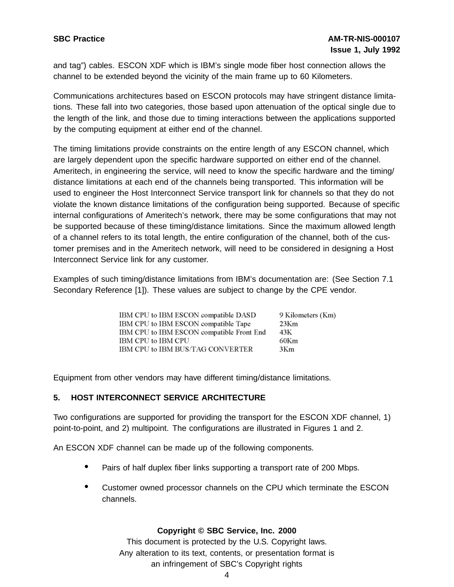and tag") cables. ESCON XDF which is IBM's single mode fiber host connection allows the channel to be extended beyond the vicinity of the main frame up to 60 Kilometers.

Communications architectures based on ESCON protocols may have stringent distance limitations. These fall into two categories, those based upon attenuation of the optical single due to the length of the link, and those due to timing interactions between the applications supported by the computing equipment at either end of the channel.

The timing limitations provide constraints on the entire length of any ESCON channel, which are largely dependent upon the specific hardware supported on either end of the channel. Ameritech, in engineering the service, will need to know the specific hardware and the timing/ distance limitations at each end of the channels being transported. This information will be used to engineer the Host Interconnect Service transport link for channels so that they do not violate the known distance limitations of the configuration being supported. Because of specific internal configurations of Ameritech's network, there may be some configurations that may not be supported because of these timing/distance limitations. Since the maximum allowed length of a channel refers to its total length, the entire configuration of the channel, both of the customer premises and in the Ameritech network, will need to be considered in designing a Host Interconnect Service link for any customer.

Examples of such timing/distance limitations from IBM's documentation are: (See Section 7.1 Secondary Reference [1]). These values are subject to change by the CPE vendor.

| IBM CPU to IBM ESCON compatible DASD      | 9 Kilometers (Km) |
|-------------------------------------------|-------------------|
| IBM CPU to IBM ESCON compatible Tape      | 23Km              |
| IBM CPU to IBM ESCON compatible Front End | 43K               |
| IBM CPU to IBM CPU                        | 60Km              |
| IBM CPU to IBM BUS/TAG CONVERTER          | 3Km               |

Equipment from other vendors may have different timing/distance limitations.

## **5. HOST INTERCONNECT SERVICE ARCHITECTURE**

Two configurations are supported for providing the transport for the ESCON XDF channel, 1) point-to-point, and 2) multipoint. The configurations are illustrated in Figures 1 and 2.

An ESCON XDF channel can be made up of the following components.

- Pairs of half duplex fiber links supporting <sup>a</sup> transport rate of <sup>200</sup> Mbps.
- Customer owned processor channels on the CPU which terminate the ESCON channels.

## **Copyright © SBC Service, Inc. 2000**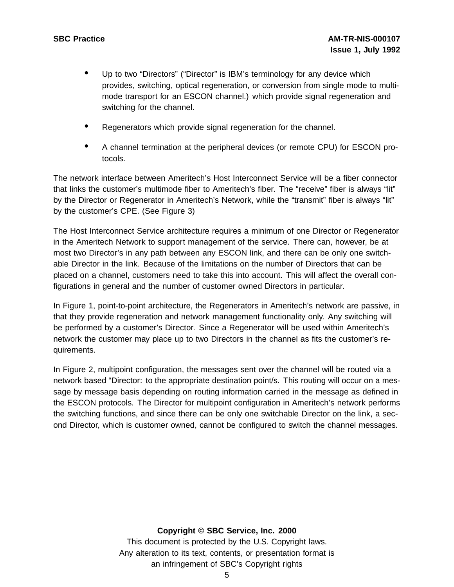- Up to two "Directors" ("Director" is IBM's terminology for any device which provides, switching, optical regeneration, or conversion from single mode to multimode transport for an ESCON channel.) which provide signal regeneration and switching for the channel.
- Regenerators which provide signal regeneration for the channel.
- <sup>A</sup> channel termination at the peripheral devices (or remote CPU) for ESCON protocols.

The network interface between Ameritech's Host Interconnect Service will be a fiber connector that links the customer's multimode fiber to Ameritech's fiber. The "receive" fiber is always "lit" by the Director or Regenerator in Ameritech's Network, while the "transmit" fiber is always "lit" by the customer's CPE. (See Figure 3)

The Host Interconnect Service architecture requires a minimum of one Director or Regenerator in the Ameritech Network to support management of the service. There can, however, be at most two Director's in any path between any ESCON link, and there can be only one switchable Director in the link. Because of the limitations on the number of Directors that can be placed on a channel, customers need to take this into account. This will affect the overall configurations in general and the number of customer owned Directors in particular.

In Figure 1, point-to-point architecture, the Regenerators in Ameritech's network are passive, in that they provide regeneration and network management functionality only. Any switching will be performed by a customer's Director. Since a Regenerator will be used within Ameritech's network the customer may place up to two Directors in the channel as fits the customer's requirements.

In Figure 2, multipoint configuration, the messages sent over the channel will be routed via a network based "Director: to the appropriate destination point/s. This routing will occur on a message by message basis depending on routing information carried in the message as defined in the ESCON protocols. The Director for multipoint configuration in Ameritech's network performs the switching functions, and since there can be only one switchable Director on the link, a second Director, which is customer owned, cannot be configured to switch the channel messages.

## **Copyright © SBC Service, Inc. 2000**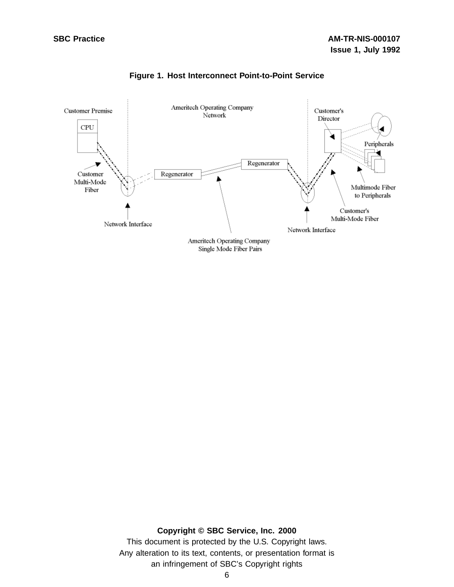

## **Figure 1. Host Interconnect Point-to-Point Service**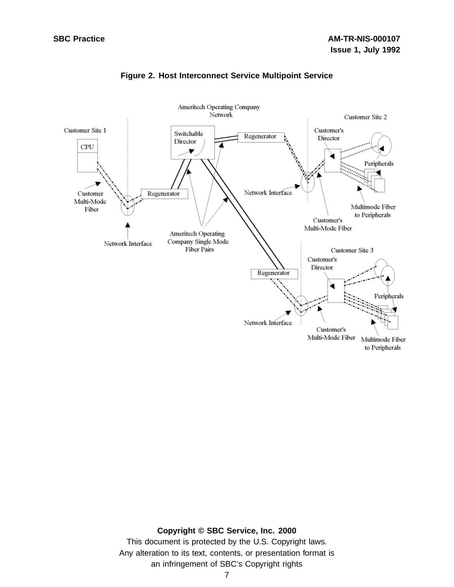

#### **Figure 2. Host Interconnect Service Multipoint Service**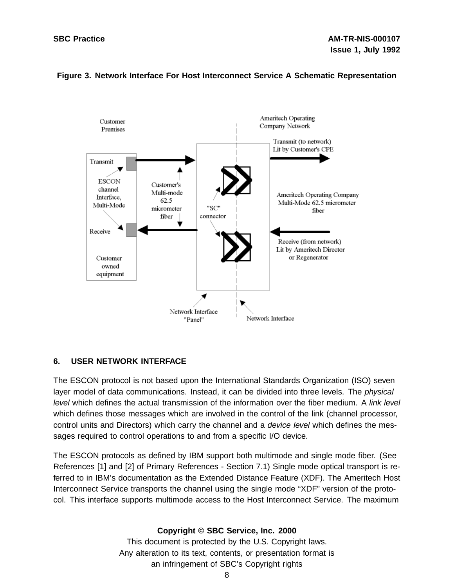## **Figure 3. Network Interface For Host Interconnect Service A Schematic Representation**



## **6. USER NETWORK INTERFACE**

The ESCON protocol is not based upon the International Standards Organization (ISO) seven layer model of data communications. Instead, it can be divided into three levels. The *physical* level which defines the actual transmission of the information over the fiber medium. A link level which defines those messages which are involved in the control of the link (channel processor, control units and Directors) which carry the channel and a device level which defines the messages required to control operations to and from a specific I/O device.

The ESCON protocols as defined by IBM support both multimode and single mode fiber. (See References [1] and [2] of Primary References - Section 7.1) Single mode optical transport is referred to in IBM's documentation as the Extended Distance Feature (XDF). The Ameritech Host Interconnect Service transports the channel using the single mode "XDF" version of the protocol. This interface supports multimode access to the Host Interconnect Service. The maximum

**Copyright © SBC Service, Inc. 2000**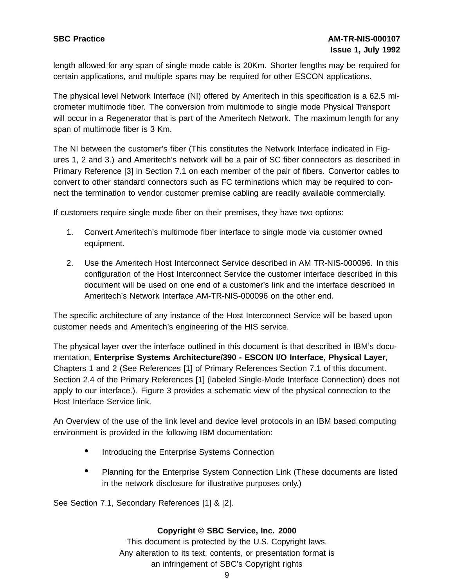length allowed for any span of single mode cable is 20Km. Shorter lengths may be required for certain applications, and multiple spans may be required for other ESCON applications.

The physical level Network Interface (NI) offered by Ameritech in this specification is a 62.5 micrometer multimode fiber. The conversion from multimode to single mode Physical Transport will occur in a Regenerator that is part of the Ameritech Network. The maximum length for any span of multimode fiber is 3 Km.

The NI between the customer's fiber (This constitutes the Network Interface indicated in Figures 1, 2 and 3.) and Ameritech's network will be a pair of SC fiber connectors as described in Primary Reference [3] in Section 7.1 on each member of the pair of fibers. Convertor cables to convert to other standard connectors such as FC terminations which may be required to connect the termination to vendor customer premise cabling are readily available commercially.

If customers require single mode fiber on their premises, they have two options:

- 1. Convert Ameritech's multimode fiber interface to single mode via customer owned equipment.
- 2. Use the Ameritech Host Interconnect Service described in AM TR-NIS-000096. In this configuration of the Host Interconnect Service the customer interface described in this document will be used on one end of a customer's link and the interface described in Ameritech's Network Interface AM-TR-NIS-000096 on the other end.

The specific architecture of any instance of the Host Interconnect Service will be based upon customer needs and Ameritech's engineering of the HIS service.

The physical layer over the interface outlined in this document is that described in IBM's documentation, **Enterprise Systems Architecture/390 - ESCON I/O Interface, Physical Layer**, Chapters 1 and 2 (See References [1] of Primary References Section 7.1 of this document. Section 2.4 of the Primary References [1] (labeled Single-Mode Interface Connection) does not apply to our interface.). Figure 3 provides a schematic view of the physical connection to the Host Interface Service link.

An Overview of the use of the link level and device level protocols in an IBM based computing environment is provided in the following IBM documentation:

- Introducing the Enterprise Systems Connection
- Planning for the Enterprise System Connection Link (These documents are listed in the network disclosure for illustrative purposes only.)

See Section 7.1, Secondary References [1] & [2].

## **Copyright © SBC Service, Inc. 2000**